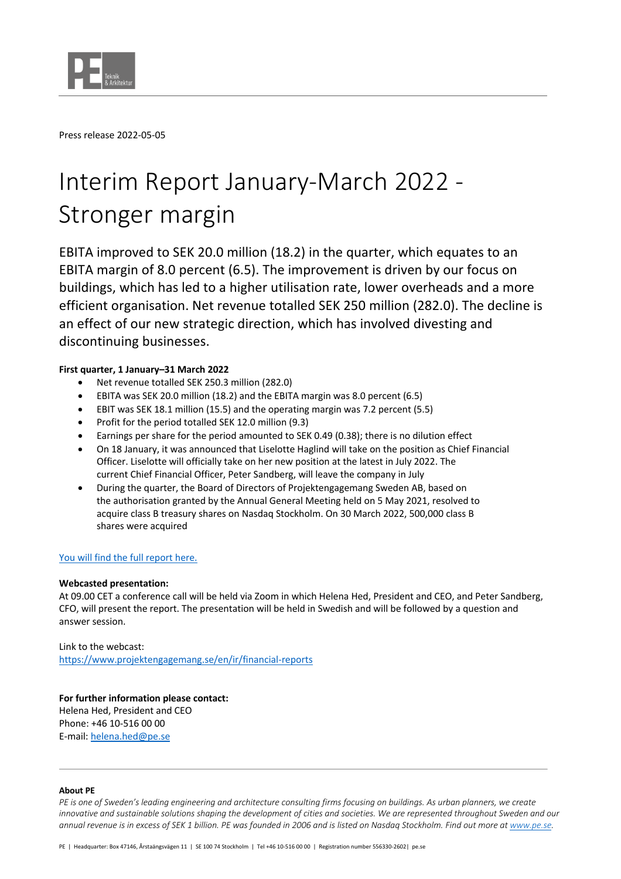

Press release 2022-05-05

# Interim Report January-March 2022 - Stronger margin

EBITA improved to SEK 20.0 million (18.2) in the quarter, which equates to an EBITA margin of 8.0 percent (6.5). The improvement is driven by our focus on buildings, which has led to a higher utilisation rate, lower overheads and a more efficient organisation. Net revenue totalled SEK 250 million (282.0). The decline is an effect of our new strategic direction, which has involved divesting and discontinuing businesses.

## **First quarter, 1 January–31 March 2022**

- Net revenue totalled SEK 250.3 million (282.0)
- EBITA was SEK 20.0 million (18.2) and the EBITA margin was 8.0 percent (6.5)
- EBIT was SEK 18.1 million (15.5) and the operating margin was 7.2 percent (5.5)
- Profit for the period totalled SEK 12.0 million (9.3)
- Earnings per share for the period amounted to SEK 0.49 (0.38); there is no dilution effect
- On 18 January, it was announced that Liselotte Haglind will take on the position as Chief Financial Officer. Liselotte will officially take on her new position at the latest in July 2022. The current Chief Financial Officer, Peter Sandberg, will leave the company in July
- During the quarter, the Board of Directors of Projektengagemang Sweden AB, based on the authorisation granted by the Annual General Meeting held on 5 May 2021, resolved to acquire class B treasury shares on Nasdaq Stockholm. On 30 March 2022, 500,000 class B shares were acquired

## You will find the full report here.

### **Webcasted presentation:**

At 09.00 CET a conference call will be held via Zoom in which Helena Hed, President and CEO, and Peter Sandberg, CFO, will present the report. The presentation will be held in Swedish and will be followed by a question and answer session.

Link to the webcast: https://www.projektengagemang.se/en/ir/financial-reports

**For further information please contact:** Helena Hed, President and CEO Phone: +46 10-516 00 00 E-mail: helena.hed@pe.se

#### **About PE**

*PE is one of Sweden's leading engineering and architecture consulting firms focusing on buildings. As urban planners, we create innovative and sustainable solutions shaping the development of cities and societies. We are represented throughout Sweden and our annual revenue is in excess of SEK 1 billion. PE was founded in 2006 and is listed on Nasdaq Stockholm. Find out more at www.pe.se.*